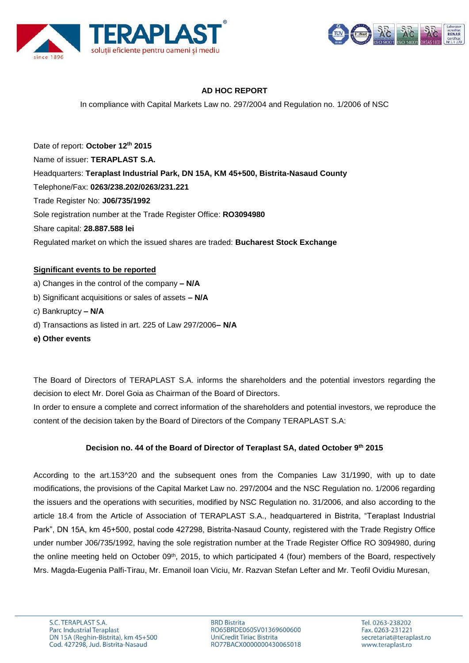



## **AD HOC REPORT**

In compliance with Capital Markets Law no. 297/2004 and Regulation no. 1/2006 of NSC

Date of report: **October 12th 2015** Name of issuer: **TERAPLAST S.A.**  Headquarters: **Teraplast Industrial Park, DN 15A, KM 45+500, Bistrita-Nasaud County** Telephone/Fax: **0263/238.202/0263/231.221** Trade Register No: **J06/735/1992** Sole registration number at the Trade Register Office: **RO3094980** Share capital: **28.887.588 lei** Regulated market on which the issued shares are traded: **Bucharest Stock Exchange**

#### **Significant events to be reported**

- a) Changes in the control of the company **– N/A**
- b) Significant acquisitions or sales of assets **– N/A**
- c) Bankruptcy **– N/A**
- d) Transactions as listed in art. 225 of Law 297/2006**– N/A**
- **e) Other events**

The Board of Directors of TERAPLAST S.A. informs the shareholders and the potential investors regarding the decision to elect Mr. Dorel Goia as Chairman of the Board of Directors.

In order to ensure a complete and correct information of the shareholders and potential investors, we reproduce the content of the decision taken by the Board of Directors of the Company TERAPLAST S.A:

### **Decision no. 44 of the Board of Director of Teraplast SA, dated October 9 th 2015**

According to the art.153^20 and the subsequent ones from the Companies Law 31/1990, with up to date modifications, the provisions of the Capital Market Law no. 297/2004 and the NSC Regulation no. 1/2006 regarding the issuers and the operations with securities, modified by NSC Regulation no. 31/2006, and also according to the article 18.4 from the Article of Association of TERAPLAST S.A., headquartered in Bistrita, "Teraplast Industrial Park", DN 15A, km 45+500, postal code 427298, Bistrita-Nasaud County, registered with the Trade Registry Office under number J06/735/1992, having the sole registration number at the Trade Register Office RO 3094980, during the online meeting held on October 09<sup>th</sup>, 2015, to which participated 4 (four) members of the Board, respectively Mrs. Magda-Eugenia Palfi-Tirau, Mr. Emanoil Ioan Viciu, Mr. Razvan Stefan Lefter and Mr. Teofil Ovidiu Muresan,

**BRD Bistrita** RO65BRDE060SV01369600600 UniCredit Tiriac Bistrita RO77BACX0000000430065018